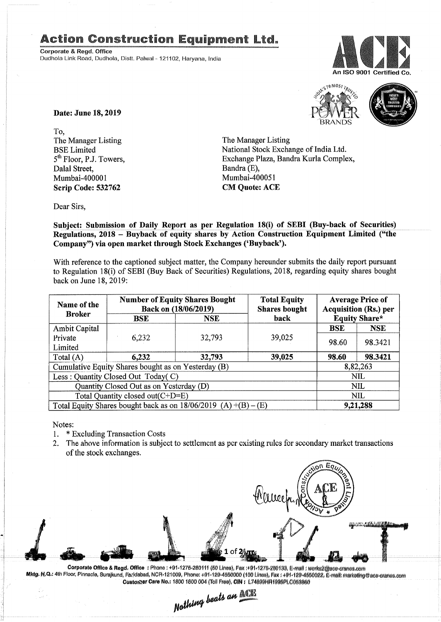## Action Construction Equipment Ltd.

**Corporate & Regd. Office**<br>
Dudhola Link Road, Dudhola, Distt. Palwal - 121102. Harvana, India







Date: June 18,2019

To, The Manager Listing BSE Limited 5<sup>th</sup> Floor, P.J. Towers, Dalal Street, Mumbai-400001 Scrip Code: 532762

The Manager Listing National Stock Exchange of India Ltd. Exchange Plaza, Bandra Kurla Complex, Bandra (E), Mumbai-400051 CM Quote: ACE

Dear Sirs,

Subject: Submission of Daily Report as per Regulation 18(i) of SEBI (Buy-back of Securities) Regulations, 2018 - Buyback of equity shares by Action Construction Equipment Limited ("the Company") via open market through Stock Exchanges ('Buyback').

With reference to the captioned subject matter, the Company hereunder submits the daily report pursuant to Regulation 18(i) of SEBI (Buy Back of Securities) Regulations, 2018, regarding equity shares bought back on June 18,2019:

| Name of the<br><b>Broker</b>                                      | <b>Number of Equity Shares Bought</b><br>Back on (18/06/2019) |            | <b>Total Equity</b><br><b>Shares bought</b> | <b>Average Price of</b><br><b>Acquisition (Rs.) per</b> |            |  |
|-------------------------------------------------------------------|---------------------------------------------------------------|------------|---------------------------------------------|---------------------------------------------------------|------------|--|
|                                                                   | <b>BSE</b>                                                    | <b>NSE</b> | back                                        | <b>Equity Share*</b>                                    |            |  |
| <b>Ambit Capital</b>                                              |                                                               |            |                                             | <b>BSE</b>                                              | <b>NSE</b> |  |
| Private                                                           | 6,232                                                         | 32,793     | 39,025                                      | 98.60                                                   | 98.3421    |  |
| Limited                                                           |                                                               |            |                                             |                                                         |            |  |
| Total $(A)$                                                       | 6,232                                                         | 32,793     | 39,025                                      | 98.60                                                   | 98.3421    |  |
| Cumulative Equity Shares bought as on Yesterday (B)               |                                                               |            |                                             | 8,82,263                                                |            |  |
| Less: Quantity Closed Out Today(C)                                |                                                               |            |                                             | <b>NIL</b>                                              |            |  |
| Quantity Closed Out as on Yesterday (D)                           |                                                               |            |                                             | <b>NIL</b>                                              |            |  |
| Total Quantity closed out(C+D=E)                                  |                                                               |            |                                             |                                                         | NIL        |  |
| Total Equity Shares bought back as on $18/06/2019$ (A) +(B) – (E) |                                                               |            |                                             | 9,21,288                                                |            |  |

Notes:

- 1. \* Excluding Transaction Costs
- 2. The above information is subject to settlement as per existing rules for secondary market transactions of the stock exchanges.



Corporate Office & Regd. Office: Phone: +91-1275-280111 (50 Lines), Fax :+91-1275-280133, E-mail: works2@ase-cranes.com Mktg. H,Q.: 4th Floor, Pinnacle, Surajkund, Faridabad, NCR-121009, Phone: +91-129-455000 (100 Lines), Fax: +91-129-4550022, E-mail: marketing@ase-cranes.com

Oustomer Caro No.: 1800 1800 004 (Toll Free), CIN: L74899HR1995PLC053860<br>**Mathing beats an LCCP**